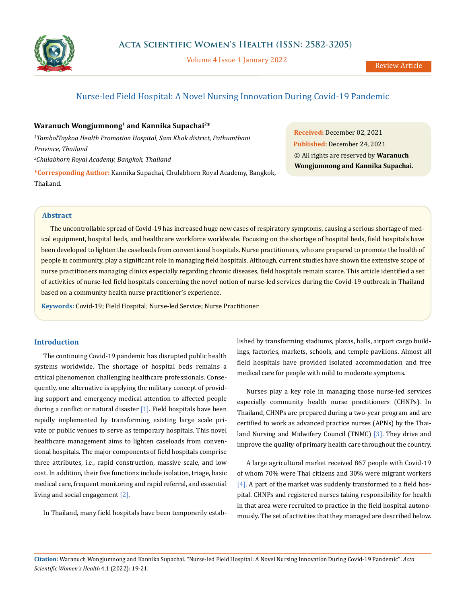

Volume 4 Issue 1 January 2022

# Nurse-led Field Hospital: A Novel Nursing Innovation During Covid-19 Pandemic

## **Waranuch Wongjumnong1 and Kannika Supachai2\***

*1 TambolTaykoa Health Promotion Hospital, Sam Khok district, Pathumthani Province, Thailand 2 Chulabhorn Royal Academy, Bangkok, Thailand*

**\*Corresponding Author:** Kannika Supachai, Chulabhorn Royal Academy, Bangkok, Thailand.

**Received:** December 02, 2021 **Published:** December 24, 2021 © All rights are reserved by **Waranuch Wongjumnong and Kannika Supachai***.*

## **Abstract**

The uncontrollable spread of Covid-19 has increased huge new cases of respiratory symptoms, causing a serious shortage of medical equipment, hospital beds, and healthcare workforce worldwide. Focusing on the shortage of hospital beds, field hospitals have been developed to lighten the caseloads from conventional hospitals. Nurse practitioners, who are prepared to promote the health of people in community, play a significant role in managing field hospitals. Although, current studies have shown the extensive scope of nurse practitioners managing clinics especially regarding chronic diseases, field hospitals remain scarce. This article identified a set of activities of nurse-led field hospitals concerning the novel notion of nurse-led services during the Covid-19 outbreak in Thailand based on a community health nurse practitioner's experience.

**Keywords:** Covid-19; Field Hospital; Nurse-led Service; Nurse Practitioner

## **Introduction**

The continuing Covid-19 pandemic has disrupted public health systems worldwide. The shortage of hospital beds remains a critical phenomenon challenging healthcare professionals. Consequently, one alternative is applying the military concept of providing support and emergency medical attention to affected people during a conflict or natural disaster  $[1]$ . Field hospitals have been rapidly implemented by transforming existing large scale private or public venues to serve as temporary hospitals. This novel healthcare management aims to lighten caseloads from conventional hospitals. The major components of field hospitals comprise three attributes, i.e., rapid construction, massive scale, and low cost. In addition, their five functions include isolation, triage, basic medical care, frequent monitoring and rapid referral, and essential living and social engagement [2].

In Thailand, many field hospitals have been temporarily estab-

lished by transforming stadiums, plazas, halls, airport cargo buildings, factories, markets, schools, and temple pavilions. Almost all field hospitals have provided isolated accommodation and free medical care for people with mild to moderate symptoms.

Nurses play a key role in managing those nurse-led services especially community health nurse practitioners (CHNPs). In Thailand, CHNPs are prepared during a two-year program and are certified to work as advanced practice nurses (APNs) by the Thailand Nursing and Midwifery Council (TNMC) [3]. They drive and improve the quality of primary health care throughout the country.

A large agricultural market received 867 people with Covid-19 of whom 70% were Thai citizens and 30% were migrant workers  $[4]$ . A part of the market was suddenly transformed to a field hospital. CHNPs and registered nurses taking responsibility for health in that area were recruited to practice in the field hospital autonomously. The set of activities that they managed are described below.

**Citation:** Waranuch Wongjumnong and Kannika Supachai*.* "Nurse-led Field Hospital: A Novel Nursing Innovation During Covid-19 Pandemic". *Acta Scientific Women's Health* 4.1 (2022): 19-21.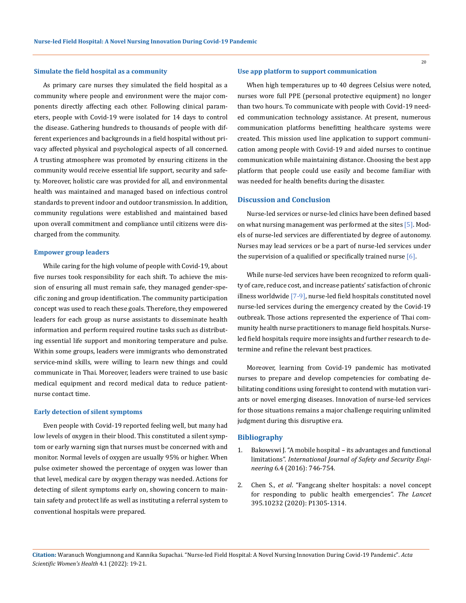## **Simulate the field hospital as a community**

As primary care nurses they simulated the field hospital as a community where people and environment were the major components directly affecting each other. Following clinical parameters, people with Covid-19 were isolated for 14 days to control the disease. Gathering hundreds to thousands of people with different experiences and backgrounds in a field hospital without privacy affected physical and psychological aspects of all concerned. A trusting atmosphere was promoted by ensuring citizens in the community would receive essential life support, security and safety. Moreover, holistic care was provided for all, and environmental health was maintained and managed based on infectious control standards to prevent indoor and outdoor transmission. In addition, community regulations were established and maintained based upon overall commitment and compliance until citizens were discharged from the community.

## **Empower group leaders**

While caring for the high volume of people with Covid-19, about five nurses took responsibility for each shift. To achieve the mission of ensuring all must remain safe, they managed gender-specific zoning and group identification. The community participation concept was used to reach these goals. Therefore, they empowered leaders for each group as nurse assistants to disseminate health information and perform required routine tasks such as distributing essential life support and monitoring temperature and pulse. Within some groups, leaders were immigrants who demonstrated service-mind skills, were willing to learn new things and could communicate in Thai. Moreover, leaders were trained to use basic medical equipment and record medical data to reduce patientnurse contact time.

#### **Early detection of silent symptoms**

Even people with Covid-19 reported feeling well, but many had low levels of oxygen in their blood. This constituted a silent symptom or early warning sign that nurses must be concerned with and monitor. Normal levels of oxygen are usually 95% or higher. When pulse oximeter showed the percentage of oxygen was lower than that level, medical care by oxygen therapy was needed. Actions for detecting of silent symptoms early on, showing concern to maintain safety and protect life as well as instituting a referral system to conventional hospitals were prepared.

#### **Use app platform to support communication**

When high temperatures up to 40 degrees Celsius were noted, nurses wore full PPE (personal protective equipment) no longer than two hours. To communicate with people with Covid-19 needed communication technology assistance. At present, numerous communication platforms benefitting healthcare systems were created. This mission used line application to support communication among people with Covid-19 and aided nurses to continue communication while maintaining distance. Choosing the best app platform that people could use easily and become familiar with was needed for health benefits during the disaster.

## **Discussion and Conclusion**

Nurse-led services or nurse-led clinics have been defined based on what nursing management was performed at the sites [5]. Models of nurse-led services are differentiated by degree of autonomy. Nurses may lead services or be a part of nurse-led services under the supervision of a qualified or specifically trained nurse  $[6]$ .

While nurse-led services have been recognized to reform quality of care, reduce cost, and increase patients' satisfaction of chronic illness worldwide [7-9], nurse-led field hospitals constituted novel nurse-led services during the emergency created by the Covid-19 outbreak. Those actions represented the experience of Thai community health nurse practitioners to manage field hospitals. Nurseled field hospitals require more insights and further research to determine and refine the relevant best practices.

Moreover, learning from Covid-19 pandemic has motivated nurses to prepare and develop competencies for combating debilitating conditions using foresight to contend with mutation variants or novel emerging diseases. Innovation of nurse-led services for those situations remains a major challenge requiring unlimited judgment during this disruptive era.

### **Bibliography**

- 1. [Bakowswi J. "A mobile hospital its advantages and functional](https://www.researchgate.net/publication/312919520_A_mobile_hospital_-_Its_advantages_and_functional_limitations)  limitations". *[International Journal of Safety and Security Engi](https://www.researchgate.net/publication/312919520_A_mobile_hospital_-_Its_advantages_and_functional_limitations)neering* [6.4 \(2016\): 746-754.](https://www.researchgate.net/publication/312919520_A_mobile_hospital_-_Its_advantages_and_functional_limitations)
- 2. Chen S., *et al*[. "Fangcang shelter hospitals: a novel concept](https://www.thelancet.com/journals/lancet/article/PIIS0140-6736(20)30744-3/fulltext)  [for responding to public health emergencies".](https://www.thelancet.com/journals/lancet/article/PIIS0140-6736(20)30744-3/fulltext) *The Lancet* [395.10232 \(2020\): P1305-1314.](https://www.thelancet.com/journals/lancet/article/PIIS0140-6736(20)30744-3/fulltext)

**Citation:** Waranuch Wongjumnong and Kannika Supachai*.* "Nurse-led Field Hospital: A Novel Nursing Innovation During Covid-19 Pandemic". *Acta Scientific Women's Health* 4.1 (2022): 19-21.